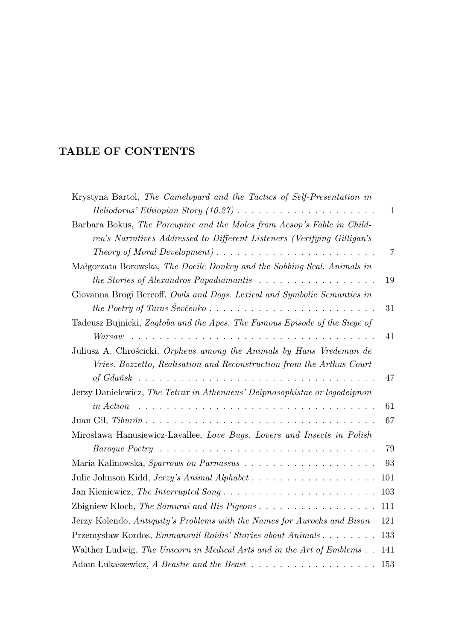## **TABLE OF CONTENTS**

| Krystyna Bartol, The Camelopard and the Tactics of Self-Presentation in                                        |                |
|----------------------------------------------------------------------------------------------------------------|----------------|
|                                                                                                                | $\mathbf{1}$   |
| Barbara Bokus, The Porcupine and the Moles from Aesop's Fable in Child-                                        |                |
| ren's Narratives Addressed to Different Listeners (Verifying Gilligan's                                        |                |
|                                                                                                                | $\overline{7}$ |
| Małgorzata Borowska, The Docile Donkey and the Sobbing Seal. Animals in                                        |                |
| the Stories of Alexandros Papadiamantis $\ldots \ldots \ldots \ldots \ldots \ldots$                            | 19             |
| Giovanna Brogi Bercoff, Owls and Dogs. Lexical and Symbolic Semantics in                                       |                |
|                                                                                                                | 31             |
| Tadeusz Bujnicki, Zagłoba and the Apes. The Famous Episode of the Siege of                                     |                |
| Warsaw                                                                                                         | 41             |
| Juliusz A. Chrościcki, Orpheus among the Animals by Hans Vredeman de                                           |                |
| Vries. Bozzetto, Realisation and Reconstruction from the Arthus Court                                          |                |
|                                                                                                                | 47             |
| Jerzy Danielewicz, The Tetrax in Athenaeus' Deipnosophistae or logodeipnon                                     |                |
| <i>in Action</i>                                                                                               | 61             |
| Juan Gil, $Tiburón \ldots \ldots \ldots \ldots \ldots \ldots \ldots \ldots \ldots \ldots \ldots \ldots \ldots$ | 67             |
| Mirosława Hanusiewicz-Lavallee, Love Bugs. Lovers and Insects in Polish                                        |                |
|                                                                                                                | 79             |
|                                                                                                                | 93             |
|                                                                                                                | 101            |
|                                                                                                                | 103            |
|                                                                                                                | 111            |
| Jerzy Kolendo, Antiquity's Problems with the Names for Aurochs and Bison                                       | 121            |
| Przemysław Kordos, Emmanouil Roidis' Stories about Animals                                                     | 133            |
| Walther Ludwig, The Unicorn in Medical Arts and in the Art of Emblems                                          | 141            |
|                                                                                                                | 153            |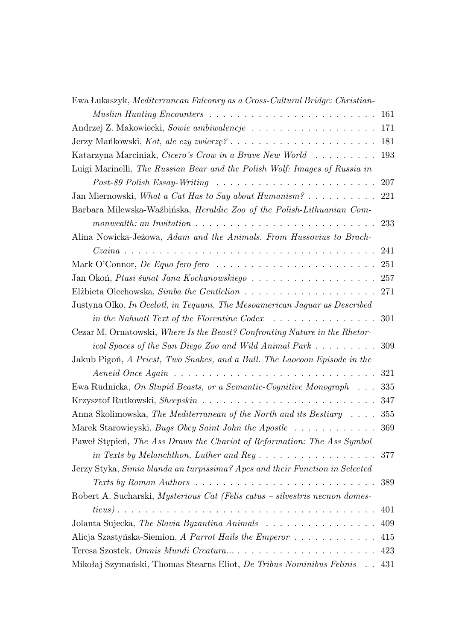| Ewa Łukaszyk, Mediterranean Falconry as a Cross-Cultural Bridge: Christian-                          |     |
|------------------------------------------------------------------------------------------------------|-----|
| Muslim Hunting Encounters $\ldots \ldots \ldots \ldots \ldots \ldots \ldots \ldots$                  | 161 |
| Andrzej Z. Makowiecki, Sowie ambiwalencje                                                            | 171 |
| Jerzy Mańkowski, Kot, ale czy zwierzę?                                                               | 181 |
| Katarzyna Marciniak, Cicero's Crow in a Brave New World                                              | 193 |
| Luigi Marinelli, The Russian Bear and the Polish Wolf: Images of Russia in                           |     |
|                                                                                                      |     |
| Jan Miernowski, What a Cat Has to Say about Humanism? 221                                            |     |
| Barbara Milewska-Waźbińska, Heraldic Zoo of the Polish-Lithuanian Com-                               |     |
| monwealth: an Invitation $\ldots \ldots \ldots \ldots \ldots \ldots \ldots \ldots \ldots \ldots 233$ |     |
| Alina Nowicka-Jeżowa, Adam and the Animals. From Hussovius to Brach-                                 |     |
|                                                                                                      | 241 |
|                                                                                                      |     |
| Jan Okoń, Ptasi świat Jana Kochanowskiego 257                                                        |     |
|                                                                                                      |     |
| Justyna Olko, <i>In Ocelotl, in Tequani. The Mesoamerican Jaguar as Described</i>                    |     |
| in the Nahuatl Text of the Florentine Codex $\ldots \ldots \ldots \ldots \ldots 301$                 |     |
| Cezar M. Ornatowski, Where Is the Beast? Confronting Nature in the Rhetor-                           |     |
| ical Spaces of the San Diego Zoo and Wild Animal Park  309                                           |     |
| Jakub Pigoń, A Priest, Two Snakes, and a Bull. The Laocoon Episode in the                            |     |
| Aeneid Once Again $\ldots \ldots \ldots \ldots \ldots \ldots \ldots \ldots \ldots \ldots$            | 321 |
| Ewa Rudnicka, On Stupid Beasts, or a Semantic-Cognitive Monograph                                    | 335 |
|                                                                                                      | 347 |
| Anna Skolimowska, The Mediterranean of the North and its Bestiary                                    | 355 |
| Marek Starowieyski, <i>Bugs Obey Saint John the Apostle</i> 369                                      |     |
| Pawel Stepien, The Ass Draws the Chariot of Reformation: The Ass Symbol                              |     |
|                                                                                                      | 377 |
| Jerzy Styka, Simia blanda an turpissima? Apes and their Function in Selected                         |     |
| Texts by Roman Authors $\ldots \ldots \ldots \ldots \ldots \ldots \ldots \ldots \ldots$              | 389 |
| Robert A. Sucharski, Mysterious Cat (Felis catus - silvestris necnon domes-                          |     |
|                                                                                                      | 401 |
| Jolanta Sujecka, The Slavia Byzantina Animals                                                        | 409 |
| Alicja Szastyńska-Siemion, A Parrot Hails the Emperor                                                | 415 |
|                                                                                                      | 423 |
| Mikołaj Szymański, Thomas Stearns Eliot, De Tribus Nominibus Felinis                                 | 431 |
|                                                                                                      |     |